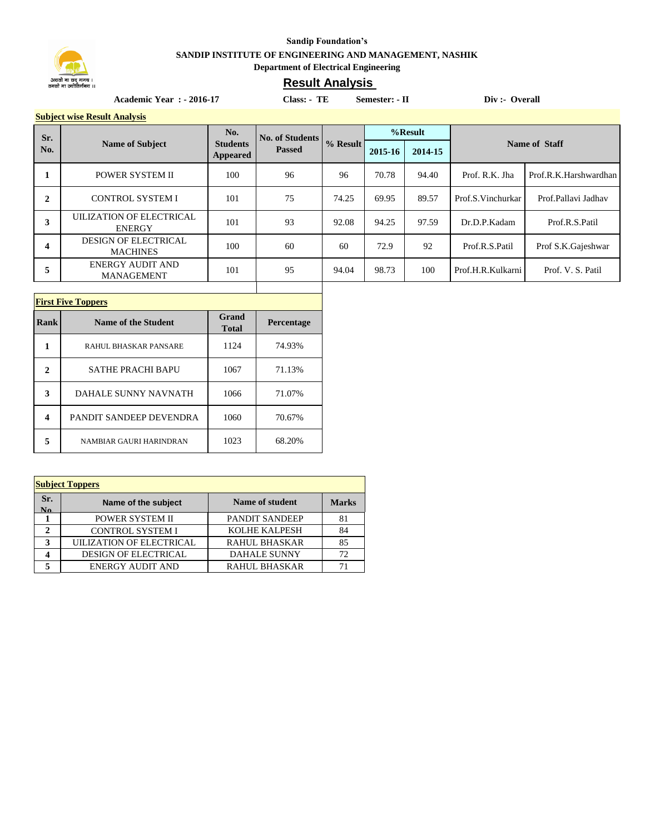

## **Sandip Foundation's SANDIP INSTITUTE OF ENGINEERING AND MANAGEMENT, NASHIK Department of Electrical Engineering**

## **Result Analysis**

Academic Year : - 2016-17 Class: - TE Semester: - II Div :- Overall

**Subject wise Result Analysis**

| Sr.<br>No.   | <b>Name of Subject</b>                         | No.<br><b>Students</b><br>Appeared | <b>No. of Students</b><br><b>Passed</b> | % Result | %Result |         |                   |                       |
|--------------|------------------------------------------------|------------------------------------|-----------------------------------------|----------|---------|---------|-------------------|-----------------------|
|              |                                                |                                    |                                         |          | 2015-16 | 2014-15 | Name of Staff     |                       |
|              | POWER SYSTEM II                                | 100                                | 96                                      | 96       | 70.78   | 94.40   | Prof. R.K. Jha    | Prof.R.K.Harshwardhan |
| $\mathbf{2}$ | <b>CONTROL SYSTEM I</b>                        | 101                                | 75                                      | 74.25    | 69.95   | 89.57   | Prof.S.Vinchurkar | Prof.Pallavi Jadhav   |
| 3            | UILIZATION OF ELECTRICAL<br><b>ENERGY</b>      | 101                                | 93                                      | 92.08    | 94.25   | 97.59   | Dr.D.P.Kadam      | Prof.R.S.Patil        |
| 4            | <b>DESIGN OF ELECTRICAL</b><br><b>MACHINES</b> | 100                                | 60                                      | 60       | 72.9    | 92      | Prof.R.S.Patil    | Prof S.K.Gajeshwar    |
| 5            | <b>ENERGY AUDIT AND</b><br><b>MANAGEMENT</b>   | 101                                | 95                                      | 94.04    | 98.73   | 100     | Prof.H.R.Kulkarni | Prof. V. S. Patil     |

Τ

Т

| <b>First Five Toppers</b> |                            |                              |            |  |  |
|---------------------------|----------------------------|------------------------------|------------|--|--|
| Rank                      | <b>Name of the Student</b> | <b>Grand</b><br><b>Total</b> | Percentage |  |  |
|                           | RAHUL BHASKAR PANSARE      | 1124                         | 74.93%     |  |  |
| 2                         | <b>SATHE PRACHI BAPU</b>   | 1067                         | 71.13%     |  |  |
| 3                         | DAHALE SUNNY NAVNATH       | 1066                         | 71.07%     |  |  |
| 4                         | PANDIT SANDEEP DEVENDRA    | 1060                         | 70.67%     |  |  |
| 5                         | NAMBIAR GAURI HARINDRAN    | 1023                         | 68.20%     |  |  |

| <b>Subject Toppers</b> |                             |                       |              |  |  |  |
|------------------------|-----------------------------|-----------------------|--------------|--|--|--|
| Sr.<br>No.             | Name of the subject         | Name of student       | <b>Marks</b> |  |  |  |
|                        | POWER SYSTEM II             | <b>PANDIT SANDEEP</b> | 81           |  |  |  |
| 2                      | <b>CONTROL SYSTEM I</b>     | <b>KOLHE KALPESH</b>  | 84           |  |  |  |
| 3                      | UILIZATION OF ELECTRICAL    | <b>RAHUL BHASKAR</b>  | 85           |  |  |  |
|                        | <b>DESIGN OF ELECTRICAL</b> | <b>DAHALE SUNNY</b>   | 72           |  |  |  |
|                        | <b>ENERGY AUDIT AND</b>     | <b>RAHUL BHASKAR</b>  | 71           |  |  |  |